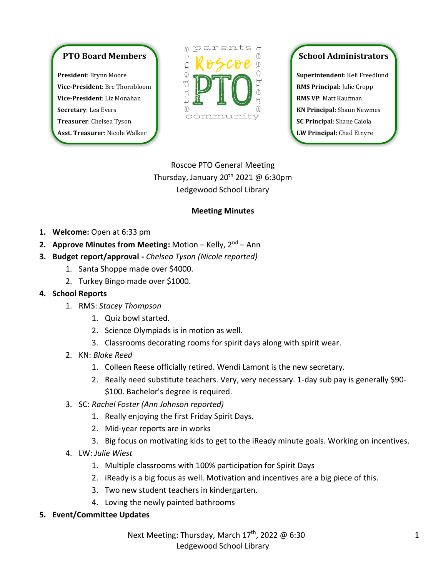## **PTO Board Members**

**President**: Brynn Moore **Vice-President**: Bre Thornbloom **Vice-President**: Liz Monahan **Secretary**: Lea Evers **Treasurer**: Chelsea Tyson **Asst. Treasurer**: Nicole Walker



## **School Administrators**

**Superintendent:** Keli Freedlund **RMS Principal**: Julie Cropp **RMS VP**: Matt Kaufman **KN Principal**: Shaun Newmes **SC Principal**: Shane Caiola **LW Principal**: Chad Etnyre

Roscoe PTO General Meeting Thursday, January 20<sup>th</sup> 2021 @ 6:30pm Ledgewood School Library

## **Meeting Minutes**

- **1. Welcome:** Open at 6:33 pm
- **2. Approve Minutes from Meeting: Motion Kelly, 2<sup>nd</sup> Ann**
- **3. Budget report/approval -** *Chelsea Tyson (Nicole reported)*
	- 1. Santa Shoppe made over \$4000.
	- 2. Turkey Bingo made over \$1000.
- **4. School Reports** 
	- 1. RMS: *Stacey Thompson*
		- 1. Quiz bowl started.
		- 2. Science Olympiads is in motion as well.
		- 3. Classrooms decorating rooms for spirit days along with spirit wear.
	- 2. KN: *Blake Reed*
		- 1. Colleen Reese officially retired. Wendi Lamont is the new secretary.
		- 2. Really need substitute teachers. Very, very necessary. 1-day sub pay is generally \$90- \$100. Bachelor's degree is required.
	- 3. SC: *Rachel Foster (Ann Johnson reported)*
		- 1. Really enjoying the first Friday Spirit Days.
		- 2. Mid-year reports are in works
		- 3. Big focus on motivating kids to get to the iReady minute goals. Working on incentives.
	- 4. LW: *Julie Wiest*
		- 1. Multiple classrooms with 100% participation for Spirit Days
		- 2. iReady is a big focus as well. Motivation and incentives are a big piece of this.
		- 3. Two new student teachers in kindergarten.
		- 4. Loving the newly painted bathrooms
- **5. Event/Committee Updates**